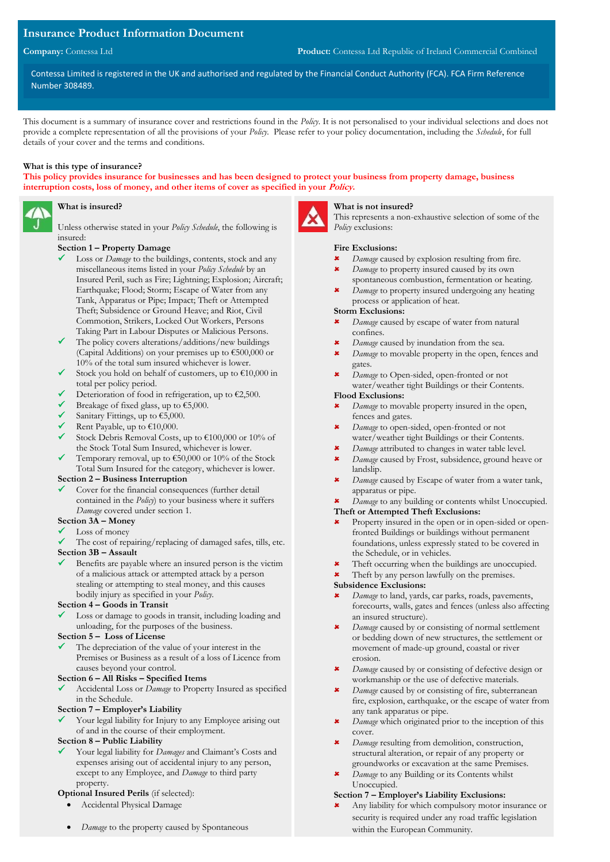## **Insurance Product Information Document**

Contessa Limited is registered in the UK and authorised and regulated by the Financial Conduct Authority (FCA). FCA Firm Reference Number 308489.

This document is a summary of insurance cover and restrictions found in the *Policy*. It is not personalised to your individual selections and does not provide a complete representation of all the provisions of your *Policy*. Please refer to your policy documentation, including the *Schedule*, for full details of your cover and the terms and conditions.

### **What is this type of insurance?**

**This policy provides insurance for businesses and has been designed to protect your business from property damage, business interruption costs, loss of money, and other items of cover as specified in your Policy.**

## **What is insured?**

Unless otherwise stated in your *Policy Schedule*, the following is insured:

### **Section 1 – Property Damage**

- Loss or *Damage* to the buildings, contents, stock and any miscellaneous items listed in your *Policy Schedule* by an Insured Peril, such as Fire; Lightning; Explosion; Aircraft; Earthquake; Flood; Storm; Escape of Water from any Tank, Apparatus or Pipe; Impact; Theft or Attempted Theft; Subsidence or Ground Heave; and Riot, Civil Commotion, Strikers, Locked Out Workers, Persons Taking Part in Labour Disputes or Malicious Persons.
- $\checkmark$  The policy covers alterations/additions/new buildings (Capital Additions) on your premises up to €500,000 or 10% of the total sum insured whichever is lower.
- $\checkmark$  Stock you hold on behalf of customers, up to  $\text{\large\ensuremath{\mathfrak{S}}}10,000$  in total per policy period.
- Deterioration of food in refrigeration, up to  $\epsilon$ 2,500.
- $\checkmark$  Breakage of fixed glass, up to  $\text{\textsterling}5,000$ .
- ✓ Sanitary Fittings, up to €5,000.
- Rent Payable, up to  $£10,000$ .
- $\checkmark$  Stock Debris Removal Costs, up to €100,000 or 10% of the Stock Total Sum Insured, whichever is lower.
- Temporary removal, up to  $€50,000$  or 10% of the Stock Total Sum Insured for the category, whichever is lower.

### **Section 2 – Business Interruption**

Cover for the financial consequences (further detail contained in the *Policy*) to your business where it suffers *Damage* covered under section 1.

## **Section 3A – Money**

- Loss of money
- ✓ The cost of repairing/replacing of damaged safes, tills, etc.

### **Section 3B – Assault**

Benefits are payable where an insured person is the victim of a malicious attack or attempted attack by a person stealing or attempting to steal money, and this causes bodily injury as specified in your *Policy*.

#### **Section 4 – Goods in Transit**

Loss or damage to goods in transit, including loading and unloading, for the purposes of the business.

### **Section 5 – Loss of License**

The depreciation of the value of your interest in the Premises or Business as a result of a loss of Licence from causes beyond your control.

### **Section 6 – All Risks – Specified Items**

Accidental Loss or *Damage* to Property Insured as specified in the Schedule.

### **Section 7 – Employer's Liability**

Your legal liability for Injury to any Employee arising out of and in the course of their employment.

### **Section 8 – Public Liability**

Your legal liability for *Damages* and Claimant's Costs and expenses arising out of accidental injury to any person, except to any Employee, and *Damage* to third party property.

## **Optional Insured Perils** (if selected):

- Accidental Physical Damage
	- *Damage* to the property caused by Spontaneous

### **What is not insured?**

This represents a non-exhaustive selection of some of the *Policy* exclusions:

### **Fire Exclusions:**

- *Damage* caused by explosion resulting from fire.
- **\*** *Damage* to property insured caused by its own spontaneous combustion, fermentation or heating.
- *Damage* to property insured undergoing any heating process or application of heat.

## **Storm Exclusions:**

- *Damage* caused by escape of water from natural confines.
- *Damage* caused by inundation from the sea.
- **\*** *Damage* to movable property in the open, fences and gates.
- *Damage* to Open-sided, open-fronted or not water/weather tight Buildings or their Contents.

### **Flood Exclusions:**

- *Damage* to movable property insured in the open, fences and gates.
- *Damage* to open-sided, open-fronted or not
- water/weather tight Buildings or their Contents. *Damage* attributed to changes in water table level.
- *Damage* caused by Frost, subsidence, ground heave or landslip.
- *Damage* caused by Escape of water from a water tank, apparatus or pipe.

#### *Damage* to any building or contents whilst Unoccupied. **Theft or Attempted Theft Exclusions:**

- Property insured in the open or in open-sided or openfronted Buildings or buildings without permanent foundations, unless expressly stated to be covered in the Schedule, or in vehicles.
- Theft occurring when the buildings are unoccupied.
- Theft by any person lawfully on the premises.

#### **Subsidence Exclusions:**

- *Damage* to land, yards, car parks, roads, pavements, forecourts, walls, gates and fences (unless also affecting an insured structure).
- *Damage* caused by or consisting of normal settlement or bedding down of new structures, the settlement or movement of made-up ground, coastal or river erosion.
- *Damage* caused by or consisting of defective design or workmanship or the use of defective materials.
- **\*** Damage caused by or consisting of fire, subterranean fire, explosion, earthquake, or the escape of water from any tank apparatus or pipe.
- *Damage* which originated prior to the inception of this cover.
- *Damage* resulting from demolition, construction, structural alteration, or repair of any property or groundworks or excavation at the same Premises.
- *Damage* to any Building or its Contents whilst Unoccupied.

### **Section 7 – Employer's Liability Exclusions:**

 Any liability for which compulsory motor insurance or security is required under any road traffic legislation within the European Community.